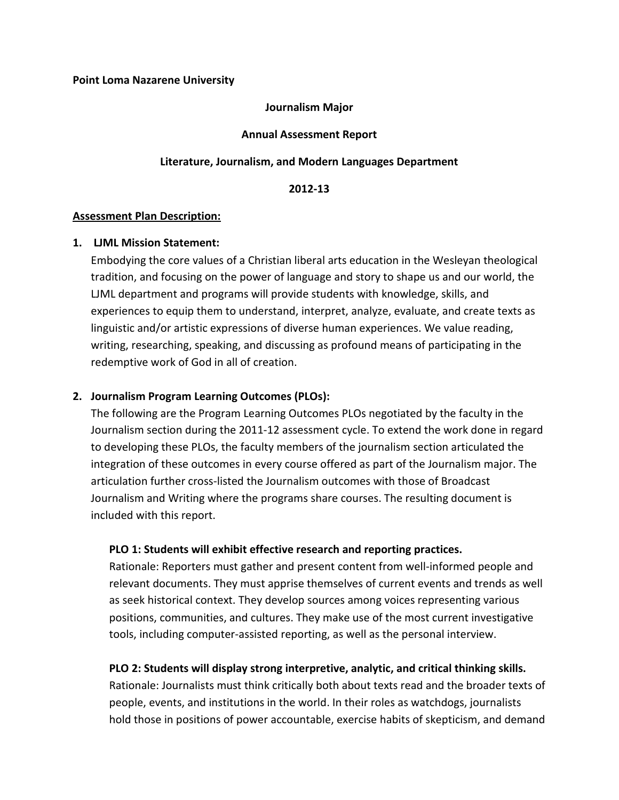#### **Point Loma Nazarene University**

#### **Journalism Major**

#### **Annual Assessment Report**

#### **Literature, Journalism, and Modern Languages Department**

**2012-13**

#### **Assessment Plan Description:**

#### **1. LJML Mission Statement:**

Embodying the core values of a Christian liberal arts education in the Wesleyan theological tradition, and focusing on the power of language and story to shape us and our world, the LJML department and programs will provide students with knowledge, skills, and experiences to equip them to understand, interpret, analyze, evaluate, and create texts as linguistic and/or artistic expressions of diverse human experiences. We value reading, writing, researching, speaking, and discussing as profound means of participating in the redemptive work of God in all of creation.

## **2. Journalism Program Learning Outcomes (PLOs):**

The following are the Program Learning Outcomes PLOs negotiated by the faculty in the Journalism section during the 2011-12 assessment cycle. To extend the work done in regard to developing these PLOs, the faculty members of the journalism section articulated the integration of these outcomes in every course offered as part of the Journalism major. The articulation further cross-listed the Journalism outcomes with those of Broadcast Journalism and Writing where the programs share courses. The resulting document is included with this report.

## **PLO 1: Students will exhibit effective research and reporting practices.**

Rationale: Reporters must gather and present content from well-informed people and relevant documents. They must apprise themselves of current events and trends as well as seek historical context. They develop sources among voices representing various positions, communities, and cultures. They make use of the most current investigative tools, including computer-assisted reporting, as well as the personal interview.

## **PLO 2: Students will display strong interpretive, analytic, and critical thinking skills.**

Rationale: Journalists must think critically both about texts read and the broader texts of people, events, and institutions in the world. In their roles as watchdogs, journalists hold those in positions of power accountable, exercise habits of skepticism, and demand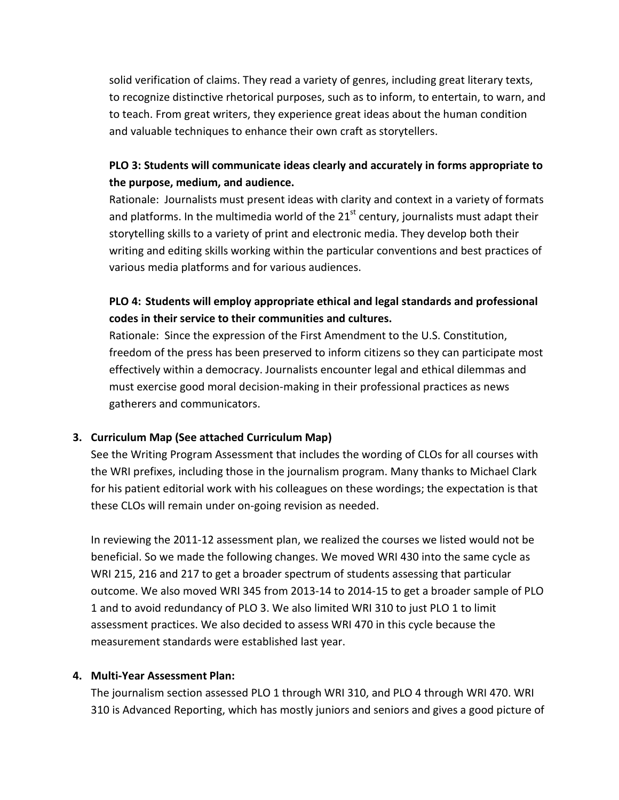solid verification of claims. They read a variety of genres, including great literary texts, to recognize distinctive rhetorical purposes, such as to inform, to entertain, to warn, and to teach. From great writers, they experience great ideas about the human condition and valuable techniques to enhance their own craft as storytellers.

# **PLO 3: Students will communicate ideas clearly and accurately in forms appropriate to the purpose, medium, and audience.**

Rationale: Journalists must present ideas with clarity and context in a variety of formats and platforms. In the multimedia world of the  $21<sup>st</sup>$  century, journalists must adapt their storytelling skills to a variety of print and electronic media. They develop both their writing and editing skills working within the particular conventions and best practices of various media platforms and for various audiences.

# **PLO 4: Students will employ appropriate ethical and legal standards and professional codes in their service to their communities and cultures.**

Rationale: Since the expression of the First Amendment to the U.S. Constitution, freedom of the press has been preserved to inform citizens so they can participate most effectively within a democracy. Journalists encounter legal and ethical dilemmas and must exercise good moral decision-making in their professional practices as news gatherers and communicators.

# **3. Curriculum Map (See attached Curriculum Map)**

See the Writing Program Assessment that includes the wording of CLOs for all courses with the WRI prefixes, including those in the journalism program. Many thanks to Michael Clark for his patient editorial work with his colleagues on these wordings; the expectation is that these CLOs will remain under on-going revision as needed.

In reviewing the 2011-12 assessment plan, we realized the courses we listed would not be beneficial. So we made the following changes. We moved WRI 430 into the same cycle as WRI 215, 216 and 217 to get a broader spectrum of students assessing that particular outcome. We also moved WRI 345 from 2013-14 to 2014-15 to get a broader sample of PLO 1 and to avoid redundancy of PLO 3. We also limited WRI 310 to just PLO 1 to limit assessment practices. We also decided to assess WRI 470 in this cycle because the measurement standards were established last year.

# **4. Multi-Year Assessment Plan:**

The journalism section assessed PLO 1 through WRI 310, and PLO 4 through WRI 470. WRI 310 is Advanced Reporting, which has mostly juniors and seniors and gives a good picture of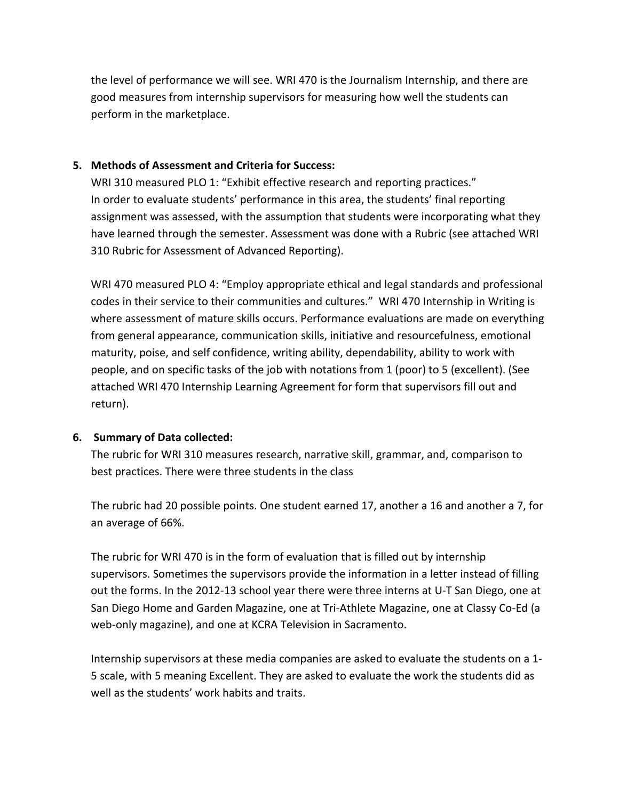the level of performance we will see. WRI 470 is the Journalism Internship, and there are good measures from internship supervisors for measuring how well the students can perform in the marketplace.

## **5. Methods of Assessment and Criteria for Success:**

WRI 310 measured PLO 1: "Exhibit effective research and reporting practices." In order to evaluate students' performance in this area, the students' final reporting assignment was assessed, with the assumption that students were incorporating what they have learned through the semester. Assessment was done with a Rubric (see attached WRI 310 Rubric for Assessment of Advanced Reporting).

WRI 470 measured PLO 4: "Employ appropriate ethical and legal standards and professional codes in their service to their communities and cultures." WRI 470 Internship in Writing is where assessment of mature skills occurs. Performance evaluations are made on everything from general appearance, communication skills, initiative and resourcefulness, emotional maturity, poise, and self confidence, writing ability, dependability, ability to work with people, and on specific tasks of the job with notations from 1 (poor) to 5 (excellent). (See attached WRI 470 Internship Learning Agreement for form that supervisors fill out and return).

# **6. Summary of Data collected:**

The rubric for WRI 310 measures research, narrative skill, grammar, and, comparison to best practices. There were three students in the class

The rubric had 20 possible points. One student earned 17, another a 16 and another a 7, for an average of 66%.

The rubric for WRI 470 is in the form of evaluation that is filled out by internship supervisors. Sometimes the supervisors provide the information in a letter instead of filling out the forms. In the 2012-13 school year there were three interns at U-T San Diego, one at San Diego Home and Garden Magazine, one at Tri-Athlete Magazine, one at Classy Co-Ed (a web-only magazine), and one at KCRA Television in Sacramento.

Internship supervisors at these media companies are asked to evaluate the students on a 1- 5 scale, with 5 meaning Excellent. They are asked to evaluate the work the students did as well as the students' work habits and traits.